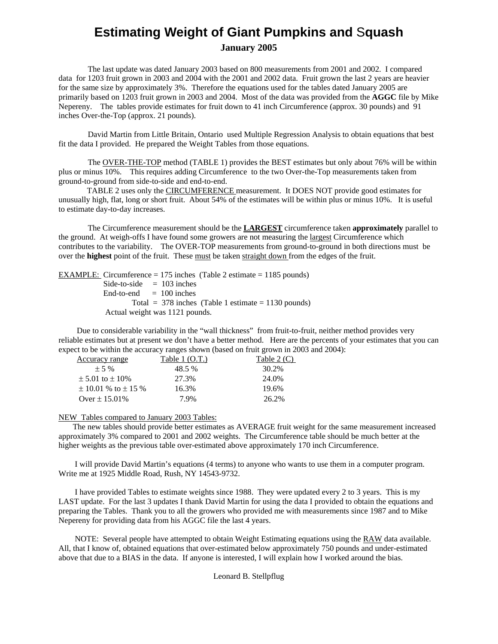## **Estimating Weight of Giant Pumpkins and** S**quash January 2005**

 The last update was dated January 2003 based on 800 measurements from 2001 and 2002. I compared data for 1203 fruit grown in 2003 and 2004 with the 2001 and 2002 data. Fruit grown the last 2 years are heavier for the same size by approximately 3%. Therefore the equations used for the tables dated January 2005 are primarily based on 1203 fruit grown in 2003 and 2004. Most of the data was provided from the **AGGC** file by Mike Nepereny. The tables provide estimates for fruit down to 41 inch Circumference (approx. 30 pounds) and 91 inches Over-the-Top (approx. 21 pounds).

 David Martin from Little Britain, Ontario used Multiple Regression Analysis to obtain equations that best fit the data I provided. He prepared the Weight Tables from those equations.

 The OVER-THE-TOP method (TABLE 1) provides the BEST estimates but only about 76% will be within plus or minus 10%. This requires adding Circumference to the two Over-the-Top measurements taken from ground-to-ground from side-to-side and end-to-end.

 TABLE 2 uses only the CIRCUMFERENCE measurement. It DOES NOT provide good estimates for unusually high, flat, long or short fruit. About 54% of the estimates will be within plus or minus 10%. It is useful to estimate day-to-day increases.

 The Circumference measurement should be the **LARGEST** circumference taken **approximately** parallel to the ground. At weigh-offs I have found some growers are not measuring the largest Circumference which contributes to the variability. The OVER-TOP measurements from ground-to-ground in both directions must be over the **highest** point of the fruit. These must be taken straight down from the edges of the fruit.

EXAMPLE: Circumference = 175 inches (Table 2 estimate = 1185 pounds) Side-to-side  $= 103$  inches  $End-to-end = 100 inches$ Total =  $378$  inches (Table 1 estimate = 1130 pounds) Actual weight was 1121 pounds.

 Due to considerable variability in the "wall thickness" from fruit-to-fruit, neither method provides very reliable estimates but at present we don't have a better method. Here are the percents of your estimates that you can expect to be within the accuracy ranges shown (based on fruit grown in 2003 and 2004):

| Accuracy range              | Table $1(0.T.)$ | Table $2(C)$ |
|-----------------------------|-----------------|--------------|
| $+5\%$                      | 48.5%           | 30.2%        |
| $\pm$ 5.01 to $\pm$ 10%     | 27.3%           | 24.0%        |
| $\pm$ 10.01 % to $\pm$ 15 % | 16.3%           | 19.6%        |
| Over $\pm$ 15.01%           | 7.9%            | 26.2%        |

## NEW Tables compared to January 2003 Tables:

 The new tables should provide better estimates as AVERAGE fruit weight for the same measurement increased approximately 3% compared to 2001 and 2002 weights. The Circumference table should be much better at the higher weights as the previous table over-estimated above approximately 170 inch Circumference.

 I will provide David Martin's equations (4 terms) to anyone who wants to use them in a computer program. Write me at 1925 Middle Road, Rush, NY 14543-9732.

 I have provided Tables to estimate weights since 1988. They were updated every 2 to 3 years. This is my LAST update. For the last 3 updates I thank David Martin for using the data I provided to obtain the equations and preparing the Tables. Thank you to all the growers who provided me with measurements since 1987 and to Mike Nepereny for providing data from his AGGC file the last 4 years.

 NOTE: Several people have attempted to obtain Weight Estimating equations using the RAW data available. All, that I know of, obtained equations that over-estimated below approximately 750 pounds and under-estimated above that due to a BIAS in the data. If anyone is interested, I will explain how I worked around the bias.